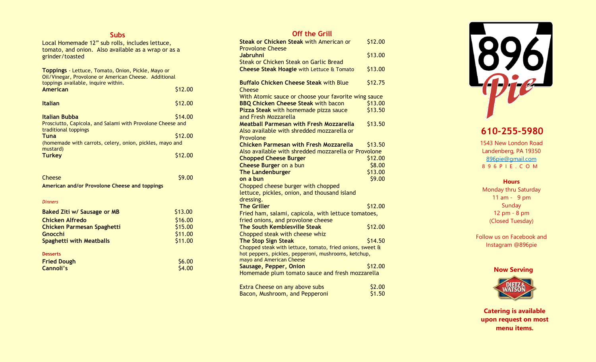### **Subs**

Local Homemade 12" sub rolls, includes lettuce, tomato, and onion. Also available as a wrap or as a grinder/toasted

| <b>Toppings</b> - Lettuce, Tomato, Onion, Pickle, Mayo or<br>Oil/Vinegar, Provolone or American Cheese. Additional<br>toppings available, inquire within. |         |
|-----------------------------------------------------------------------------------------------------------------------------------------------------------|---------|
| American                                                                                                                                                  | \$12.00 |
| <b>Italian</b>                                                                                                                                            | \$12.00 |
| \$14.00<br>Italian Bubba<br>Prosciutto, Capicola, and Salami with Provolone Cheese and<br>traditional toppings                                            |         |
| Tuna<br>(homemade with carrots, celery, onion, pickles, mayo and                                                                                          | \$12.00 |
| mustard)<br><b>Turkey</b>                                                                                                                                 |         |

| Cheese                                        | \$9.00  |
|-----------------------------------------------|---------|
| American and/or Provolone Cheese and toppings |         |
|                                               |         |
| <b>Dinners</b>                                |         |
| <b>Baked Ziti w/ Sausage or MB</b>            | \$13.00 |
| Chicken Alfredo                               | \$16.00 |
| Chicken Parmesan Spaghetti                    | \$15.00 |
| Gnocchi                                       | \$11.00 |
| Spaghetti with Meatballs                      | \$11.00 |
| <b>Desserts</b>                               |         |
| <b>Fried Dough</b>                            | \$6.00  |
| Cannoli's                                     | \$4.00  |

## **Off the Grill**

| <b>Steak or Chicken Steak with American or</b>                                   | \$12.00 |
|----------------------------------------------------------------------------------|---------|
| <b>Provolone Cheese</b><br><b>Jabruhni</b>                                       | \$13.00 |
| Steak or Chicken Steak on Garlic Bread                                           |         |
| Cheese Steak Hoagie with Lettuce & Tomato                                        | \$13.00 |
|                                                                                  |         |
| <b>Buffalo Chicken Cheese Steak with Blue</b><br>Cheese                          | \$12.75 |
| With Atomic sauce or choose your favorite wing sauce                             |         |
| <b>BBQ Chicken Cheese Steak with bacon</b>                                       | \$13.00 |
| Pizza Steak with homemade pizza sauce                                            | \$13.50 |
| and Fresh Mozzarella                                                             |         |
| <b>Meatball Parmesan with Fresh Mozzarella</b>                                   | \$13.50 |
| Also available with shredded mozzarella or                                       |         |
| Provolone                                                                        |         |
| <b>Chicken Parmesan with Fresh Mozzarella</b>                                    | \$13.50 |
| Also available with shredded mozzarella or Provolone                             |         |
| <b>Chopped Cheese Burger</b>                                                     | \$12.00 |
| <b>Cheese Burger on a bun</b>                                                    | \$8.00  |
| <b>The Landenburger</b>                                                          | \$13.00 |
| on a bun                                                                         | \$9.00  |
| Chopped cheese burger with chopped                                               |         |
| lettuce, pickles, onion, and thousand island                                     |         |
| dressing.                                                                        |         |
| <b>The Griller</b>                                                               | \$12.00 |
| Fried ham, salami, capicola, with lettuce tomatoes,                              |         |
| fried onions, and provolone cheese                                               |         |
| The South Kemblesville Steak                                                     | \$12.00 |
| Chopped steak with cheese whiz                                                   |         |
| <b>The Stop Sign Steak</b>                                                       | \$14.50 |
| Chopped steak with lettuce, tomato, fried onions, sweet &                        |         |
| hot peppers, pickles, pepperoni, mushrooms, ketchup,<br>mayo and American Cheese |         |
| Sausage, Pepper, Onion                                                           | \$12.00 |
| Homemade plum tomato sauce and fresh mozzarella                                  |         |
|                                                                                  |         |
| Extra Cheese on any above subs                                                   | \$2.00  |

| Extra Cheese on any above subs | \$2.00 |
|--------------------------------|--------|
| Bacon, Mushroom, and Pepperoni | \$1.50 |



# **610 -255 -5980**

1543 New London Road Landenberg, PA 19350 [896pie@gmail.com](mailto:896pie@gmail.com) 8 9 6 P I E . C O M

### **Hours**

Monday thru Saturday 11 am - 9 pm Sunday 12 p m - 8 pm (Closed Tuesday)

Follow us on Facebook and Instagram @896pie

### **Now Serving**



**Catering is available upon request on most menu items.**